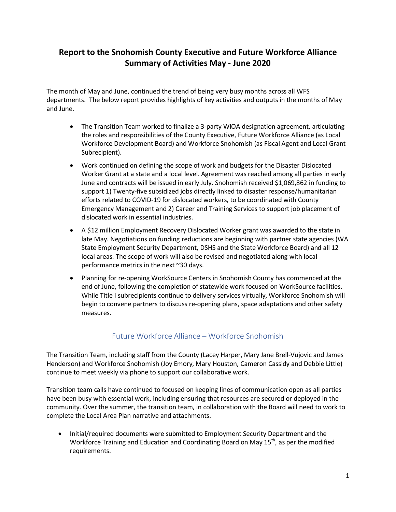# **Report to the Snohomish County Executive and Future Workforce Alliance Summary of Activities May - June 2020**

The month of May and June, continued the trend of being very busy months across all WFS departments. The below report provides highlights of key activities and outputs in the months of May and June.

- The Transition Team worked to finalize a 3-party WIOA designation agreement, articulating the roles and responsibilities of the County Executive, Future Workforce Alliance (as Local Workforce Development Board) and Workforce Snohomish (as Fiscal Agent and Local Grant Subrecipient).
- Work continued on defining the scope of work and budgets for the Disaster Dislocated Worker Grant at a state and a local level. Agreement was reached among all parties in early June and contracts will be issued in early July. Snohomish received \$1,069,862 in funding to support 1) Twenty-five subsidized jobs directly linked to disaster response/humanitarian efforts related to COVID-19 for dislocated workers, to be coordinated with County Emergency Management and 2) Career and Training Services to support job placement of dislocated work in essential industries.
- A \$12 million Employment Recovery Dislocated Worker grant was awarded to the state in late May. Negotiations on funding reductions are beginning with partner state agencies (WA State Employment Security Department, DSHS and the State Workforce Board) and all 12 local areas. The scope of work will also be revised and negotiated along with local performance metrics in the next ~30 days.
- Planning for re-opening WorkSource Centers in Snohomish County has commenced at the end of June, following the completion of statewide work focused on WorkSource facilities. While Title I subrecipients continue to delivery services virtually, Workforce Snohomish will begin to convene partners to discuss re-opening plans, space adaptations and other safety measures.

## Future Workforce Alliance – Workforce Snohomish

The Transition Team, including staff from the County (Lacey Harper, Mary Jane Brell-Vujovic and James Henderson) and Workforce Snohomish (Joy Emory, Mary Houston, Cameron Cassidy and Debbie Little) continue to meet weekly via phone to support our collaborative work.

Transition team calls have continued to focused on keeping lines of communication open as all parties have been busy with essential work, including ensuring that resources are secured or deployed in the community. Over the summer, the transition team, in collaboration with the Board will need to work to complete the Local Area Plan narrative and attachments.

• Initial/required documents were submitted to Employment Security Department and the Workforce Training and Education and Coordinating Board on May  $15<sup>th</sup>$ , as per the modified requirements.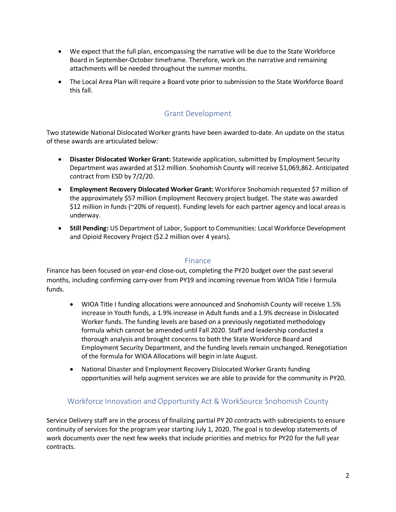- We expect that the full plan, encompassing the narrative will be due to the State Workforce Board in September-October timeframe. Therefore, work on the narrative and remaining attachments will be needed throughout the summer months.
- The Local Area Plan will require a Board vote prior to submission to the State Workforce Board this fall.

## Grant Development

Two statewide National Dislocated Worker grants have been awarded to-date. An update on the status of these awards are articulated below:

- **Disaster Dislocated Worker Grant:** Statewide application, submitted by Employment Security Department was awarded at \$12 million. Snohomish County will receive \$1,069,862. Anticipated contract from ESD by 7/2/20.
- **Employment Recovery Dislocated Worker Grant:** Workforce Snohomish requested \$7 million of the approximately \$57 million Employment Recovery project budget. The state was awarded \$12 million in funds (~20% of request). Funding levels for each partner agency and local areas is underway.
- **Still Pending:** US Department of Labor, Support to Communities: Local Workforce Development and Opioid Recovery Project (\$2.2 million over 4 years).

### Finance

Finance has been focused on year-end close-out, completing the PY20 budget over the past several months, including confirming carry-over from PY19 and incoming revenue from WIOA Title I formula funds.

- WIOA Title I funding allocations were announced and Snohomish County will receive 1.5% increase in Youth funds, a 1.9% increase in Adult funds and a 1.9% decrease in Dislocated Worker funds. The funding levels are based on a previously negotiated methodology formula which cannot be amended until Fall 2020. Staff and leadership conducted a thorough analysis and brought concerns to both the State Workforce Board and Employment Security Department, and the funding levels remain unchanged. Renegotiation of the formula for WIOA Allocations will begin in late August.
- National Disaster and Employment Recovery Dislocated Worker Grants funding opportunities will help augment services we are able to provide for the community in PY20.

## Workforce Innovation and Opportunity Act & WorkSource Snohomish County

Service Delivery staff are in the process of finalizing partial PY 20 contracts with subrecipients to ensure continuity of services for the program year starting July 1, 2020. The goal is to develop statements of work documents over the next few weeks that include priorities and metrics for PY20 for the full year contracts.